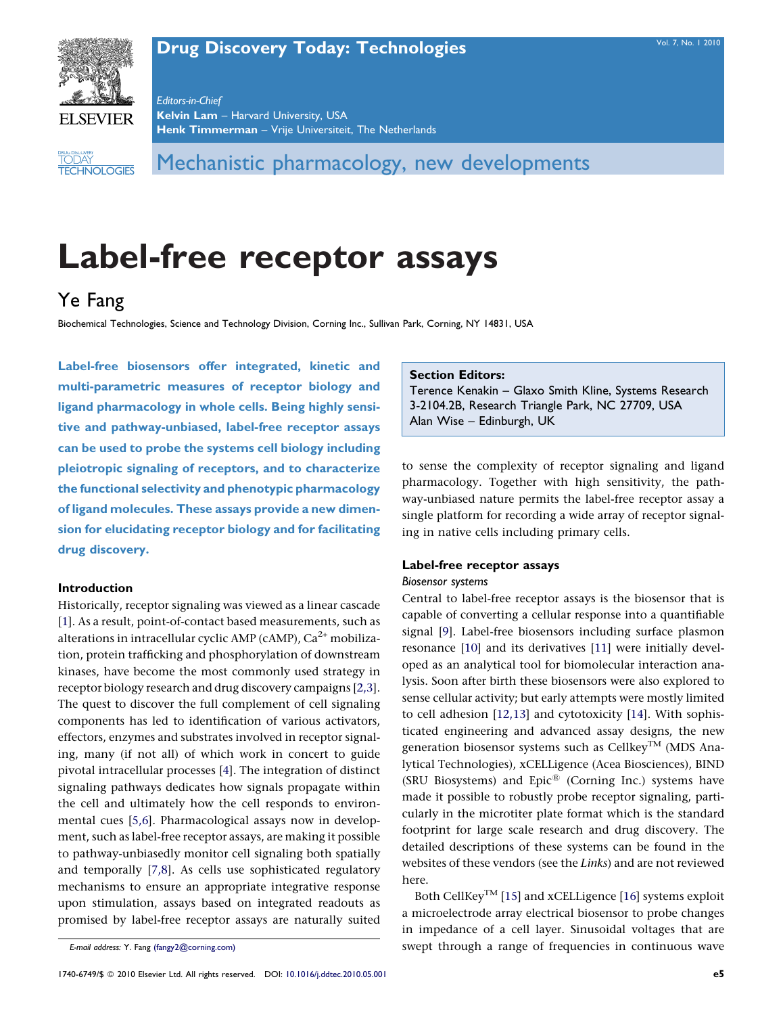# **Drug Discovery Today: Technologies** Vol. 7, No. 1 2010



Editors-in-Chief Kelvin Lam - Harvard University, USA Henk Timmerman - Vrije Universiteit, The Netherlands

TECHNOLOGIES **DRUG DISCOVERY** TODAY

Mechanistic pharmacology, new developments

# Label-free receptor assays

# Ye Fang

Biochemical Technologies, Science and Technology Division, Corning Inc., Sullivan Park, Corning, NY 14831, USA

Label-free biosensors offer integrated, kinetic and multi-parametric measures of receptor biology and ligand pharmacology in whole cells. Being highly sensitive and pathway-unbiased, label-free receptor assays can be used to probe the systems cell biology including pleiotropic signaling of receptors, and to characterize the functional selectivity and phenotypic pharmacology of ligand molecules. These assays provide a new dimension for elucidating receptor biology and for facilitating drug discovery.

# Introduction

Historically, receptor signaling was viewed as a linear cascade [\[1](#page-5-0)]. As a result, point-of-contact based measurements, such as alterations in intracellular cyclic AMP (cAMP),  $Ca^{2+}$  mobilization, protein trafficking and phosphorylation of downstream kinases, have become the most commonly used strategy in receptor biology research and drug discovery campaigns [\[2,3](#page-5-0)]. The quest to discover the full complement of cell signaling components has led to identification of various activators, effectors, enzymes and substrates involved in receptor signaling, many (if not all) of which work in concert to guide pivotal intracellular processes [\[4](#page-5-0)]. The integration of distinct signaling pathways dedicates how signals propagate within the cell and ultimately how the cell responds to environmental cues [\[5,6](#page-5-0)]. Pharmacological assays now in development, such as label-free receptor assays, are making it possible to pathway-unbiasedly monitor cell signaling both spatially and temporally [\[7,8](#page-5-0)]. As cells use sophisticated regulatory mechanisms to ensure an appropriate integrative response upon stimulation, assays based on integrated readouts as promised by label-free receptor assays are naturally suited

#### Section Editors:

Terence Kenakin – Glaxo Smith Kline, Systems Research 3-2104.2B, Research Triangle Park, NC 27709, USA Alan Wise – Edinburgh, UK

to sense the complexity of receptor signaling and ligand pharmacology. Together with high sensitivity, the pathway-unbiased nature permits the label-free receptor assay a single platform for recording a wide array of receptor signaling in native cells including primary cells.

# Label-free receptor assays

#### Biosensor systems

Central to label-free receptor assays is the biosensor that is capable of converting a cellular response into a quantifiable signal [\[9](#page-5-0)]. Label-free biosensors including surface plasmon resonance [\[10\]](#page-5-0) and its derivatives [\[11](#page-5-0)] were initially developed as an analytical tool for biomolecular interaction analysis. Soon after birth these biosensors were also explored to sense cellular activity; but early attempts were mostly limited to cell adhesion [[12,13\]](#page-5-0) and cytotoxicity [\[14\]](#page-5-0). With sophisticated engineering and advanced assay designs, the new generation biosensor systems such as Cellkey<sup>TM</sup> (MDS Analytical Technologies), xCELLigence (Acea Biosciences), BIND (SRU Biosystems) and Epic $\mathbb{B}$  (Corning Inc.) systems have made it possible to robustly probe receptor signaling, particularly in the microtiter plate format which is the standard footprint for large scale research and drug discovery. The detailed descriptions of these systems can be found in the websites of these vendors (see the Links) and are not reviewed here.

Both CellKey<sup>TM</sup> [[15](#page-5-0)] and xCELLigence [[16\]](#page-5-0) systems exploit a microelectrode array electrical biosensor to probe changes in impedance of a cell layer. Sinusoidal voltages that are swept through a range of frequencies in continuous wave

E-mail address: Y. Fang [\(fangy2@corning.com\)](mailto:fangy2@corning.com)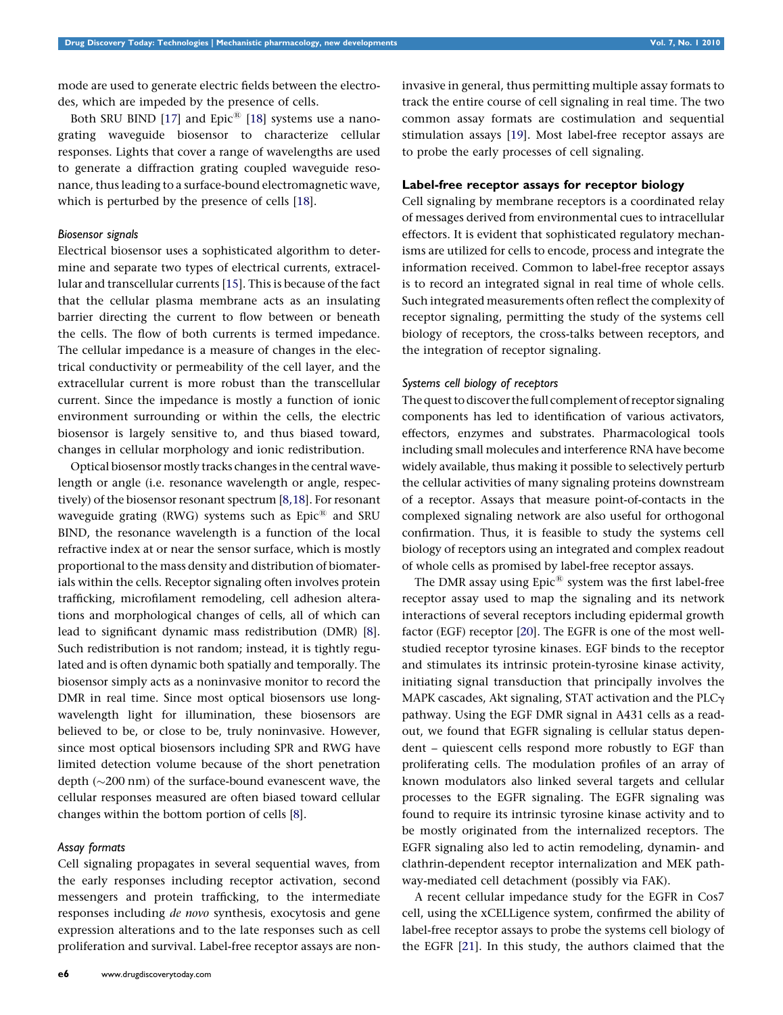mode are used to generate electric fields between the electrodes, which are impeded by the presence of cells.

Both SRU BIND [[17\]](#page-5-0) and Epic<sup>®</sup> [[18\]](#page-5-0) systems use a nanograting waveguide biosensor to characterize cellular responses. Lights that cover a range of wavelengths are used to generate a diffraction grating coupled waveguide resonance, thus leading to a surface-bound electromagnetic wave, which is perturbed by the presence of cells [\[18](#page-5-0)].

# Biosensor signals

Electrical biosensor uses a sophisticated algorithm to determine and separate two types of electrical currents, extracellular and transcellular currents [[15\]](#page-5-0). This is because of the fact that the cellular plasma membrane acts as an insulating barrier directing the current to flow between or beneath the cells. The flow of both currents is termed impedance. The cellular impedance is a measure of changes in the electrical conductivity or permeability of the cell layer, and the extracellular current is more robust than the transcellular current. Since the impedance is mostly a function of ionic environment surrounding or within the cells, the electric biosensor is largely sensitive to, and thus biased toward, changes in cellular morphology and ionic redistribution.

Optical biosensor mostly tracks changes in the central wavelength or angle (i.e. resonance wavelength or angle, respectively) of the biosensor resonant spectrum [\[8,18\]](#page-5-0). For resonant waveguide grating (RWG) systems such as  $Epic^{(8)}$  and SRU BIND, the resonance wavelength is a function of the local refractive index at or near the sensor surface, which is mostly proportional to the mass density and distribution of biomaterials within the cells. Receptor signaling often involves protein trafficking, microfilament remodeling, cell adhesion alterations and morphological changes of cells, all of which can lead to significant dynamic mass redistribution (DMR) [\[8](#page-5-0)]. Such redistribution is not random; instead, it is tightly regulated and is often dynamic both spatially and temporally. The biosensor simply acts as a noninvasive monitor to record the DMR in real time. Since most optical biosensors use longwavelength light for illumination, these biosensors are believed to be, or close to be, truly noninvasive. However, since most optical biosensors including SPR and RWG have limited detection volume because of the short penetration depth ( $\sim$ 200 nm) of the surface-bound evanescent wave, the cellular responses measured are often biased toward cellular changes within the bottom portion of cells [\[8](#page-5-0)].

#### Assay formats

Cell signaling propagates in several sequential waves, from the early responses including receptor activation, second messengers and protein trafficking, to the intermediate responses including de novo synthesis, exocytosis and gene expression alterations and to the late responses such as cell proliferation and survival. Label-free receptor assays are non-

e6 www.drugdiscoverytoday.com

invasive in general, thus permitting multiple assay formats to track the entire course of cell signaling in real time. The two common assay formats are costimulation and sequential stimulation assays [\[19\]](#page-5-0). Most label-free receptor assays are to probe the early processes of cell signaling.

## Label-free receptor assays for receptor biology

Cell signaling by membrane receptors is a coordinated relay of messages derived from environmental cues to intracellular effectors. It is evident that sophisticated regulatory mechanisms are utilized for cells to encode, process and integrate the information received. Common to label-free receptor assays is to record an integrated signal in real time of whole cells. Such integrated measurements often reflect the complexity of receptor signaling, permitting the study of the systems cell biology of receptors, the cross-talks between receptors, and the integration of receptor signaling.

#### Systems cell biology of receptors

The quest to discover the full complement of receptor signaling components has led to identification of various activators, effectors, enzymes and substrates. Pharmacological tools including small molecules and interference RNA have become widely available, thus making it possible to selectively perturb the cellular activities of many signaling proteins downstream of a receptor. Assays that measure point-of-contacts in the complexed signaling network are also useful for orthogonal confirmation. Thus, it is feasible to study the systems cell biology of receptors using an integrated and complex readout of whole cells as promised by label-free receptor assays.

The DMR assay using  $Epic^{\circledR}$  system was the first label-free receptor assay used to map the signaling and its network interactions of several receptors including epidermal growth factor (EGF) receptor [\[20](#page-5-0)]. The EGFR is one of the most wellstudied receptor tyrosine kinases. EGF binds to the receptor and stimulates its intrinsic protein-tyrosine kinase activity, initiating signal transduction that principally involves the MAPK cascades, Akt signaling, STAT activation and the  $PLC\gamma$ pathway. Using the EGF DMR signal in A431 cells as a readout, we found that EGFR signaling is cellular status dependent – quiescent cells respond more robustly to EGF than proliferating cells. The modulation profiles of an array of known modulators also linked several targets and cellular processes to the EGFR signaling. The EGFR signaling was found to require its intrinsic tyrosine kinase activity and to be mostly originated from the internalized receptors. The EGFR signaling also led to actin remodeling, dynamin- and clathrin-dependent receptor internalization and MEK pathway-mediated cell detachment (possibly via FAK).

A recent cellular impedance study for the EGFR in Cos7 cell, using the xCELLigence system, confirmed the ability of label-free receptor assays to probe the systems cell biology of the EGFR [\[21\]](#page-6-0). In this study, the authors claimed that the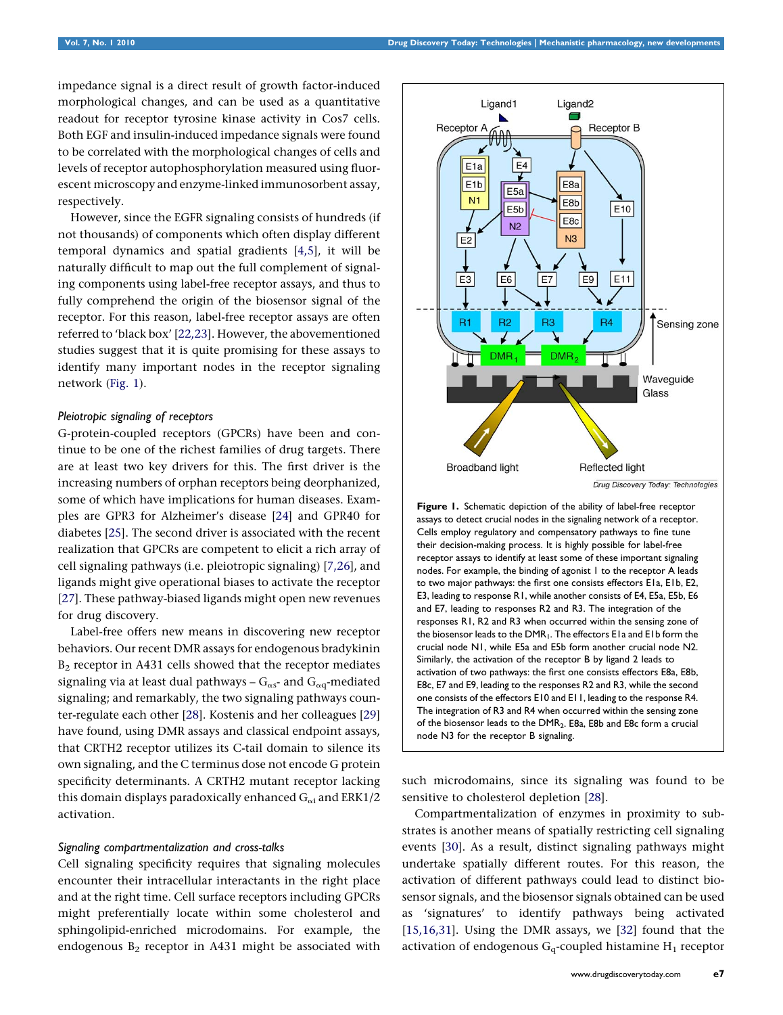impedance signal is a direct result of growth factor-induced morphological changes, and can be used as a quantitative readout for receptor tyrosine kinase activity in Cos7 cells. Both EGF and insulin-induced impedance signals were found to be correlated with the morphological changes of cells and levels of receptor autophosphorylation measured using fluorescent microscopy and enzyme-linked immunosorbent assay, respectively.

However, since the EGFR signaling consists of hundreds (if not thousands) of components which often display different temporal dynamics and spatial gradients [[4,5\]](#page-5-0), it will be naturally difficult to map out the full complement of signaling components using label-free receptor assays, and thus to fully comprehend the origin of the biosensor signal of the receptor. For this reason, label-free receptor assays are often referred to 'black box' [\[22,23\]](#page-6-0). However, the abovementioned studies suggest that it is quite promising for these assays to identify many important nodes in the receptor signaling network (Fig. 1).

# Pleiotropic signaling of receptors

G-protein-coupled receptors (GPCRs) have been and continue to be one of the richest families of drug targets. There are at least two key drivers for this. The first driver is the increasing numbers of orphan receptors being deorphanized, some of which have implications for human diseases. Examples are GPR3 for Alzheimer's disease [[24\]](#page-6-0) and GPR40 for diabetes [[25](#page-6-0)]. The second driver is associated with the recent realization that GPCRs are competent to elicit a rich array of cell signaling pathways (i.e. pleiotropic signaling) [[7,26\]](#page-5-0), and ligands might give operational biases to activate the receptor [\[27\]](#page-6-0). These pathway-biased ligands might open new revenues for drug discovery.

Label-free offers new means in discovering new receptor behaviors. Our recent DMR assays for endogenous bradykinin B<sub>2</sub> receptor in A431 cells showed that the receptor mediates signaling via at least dual pathways –  $G_{\alpha s}$ - and  $G_{\alpha q}$ -mediated signaling; and remarkably, the two signaling pathways counter-regulate each other [\[28\]](#page-6-0). Kostenis and her colleagues [\[29\]](#page-6-0) have found, using DMR assays and classical endpoint assays, that CRTH2 receptor utilizes its C-tail domain to silence its own signaling, and the C terminus dose not encode G protein specificity determinants. A CRTH2 mutant receptor lacking this domain displays paradoxically enhanced  $G_{\alpha i}$  and ERK1/2 activation.

# Signaling compartmentalization and cross-talks

Cell signaling specificity requires that signaling molecules encounter their intracellular interactants in the right place and at the right time. Cell surface receptors including GPCRs might preferentially locate within some cholesterol and sphingolipid-enriched microdomains. For example, the endogenous  $B_2$  receptor in A431 might be associated with



Figure 1. Schematic depiction of the ability of label-free receptor assays to detect crucial nodes in the signaling network of a receptor. Cells employ regulatory and compensatory pathways to fine tune their decision-making process. It is highly possible for label-free receptor assays to identify at least some of these important signaling nodes. For example, the binding of agonist 1 to the receptor A leads to two major pathways: the first one consists effectors E1a, E1b, E2, E3, leading to response R1, while another consists of E4, E5a, E5b, E6 and E7, leading to responses R2 and R3. The integration of the responses R1, R2 and R3 when occurred within the sensing zone of the biosensor leads to the DMR<sub>1</sub>. The effectors E1a and E1b form the crucial node N1, while E5a and E5b form another crucial node N2. Similarly, the activation of the receptor B by ligand 2 leads to activation of two pathways: the first one consists effectors E8a, E8b, E8c, E7 and E9, leading to the responses R2 and R3, while the second one consists of the effectors E10 and E11, leading to the response R4. The integration of R3 and R4 when occurred within the sensing zone of the biosensor leads to the DMR<sub>2</sub>. E8a, E8b and E8c form a crucial node N3 for the receptor B signaling.

such microdomains, since its signaling was found to be sensitive to cholesterol depletion [\[28](#page-6-0)].

Compartmentalization of enzymes in proximity to substrates is another means of spatially restricting cell signaling events [\[30\]](#page-6-0). As a result, distinct signaling pathways might undertake spatially different routes. For this reason, the activation of different pathways could lead to distinct biosensor signals, and the biosensor signals obtained can be used as 'signatures' to identify pathways being activated [[15,16,31\]](#page-5-0). Using the DMR assays, we [\[32\]](#page-6-0) found that the activation of endogenous  $G_q$ -coupled histamine  $H_1$  receptor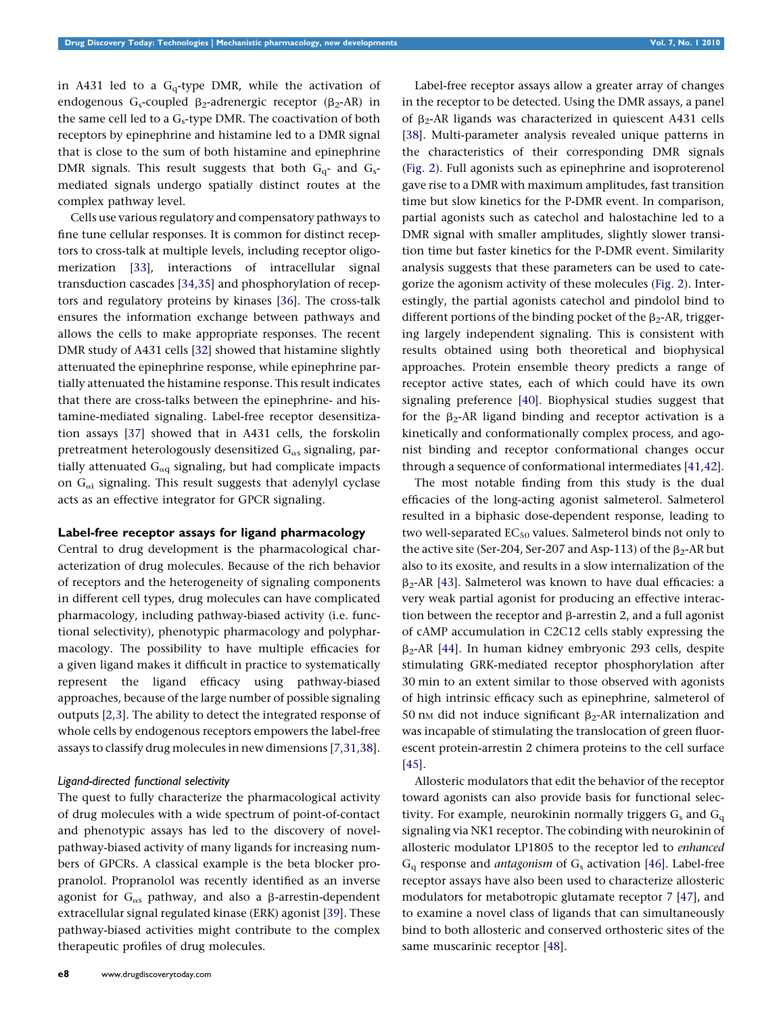in A431 led to a  $G_q$ -type DMR, while the activation of endogenous G<sub>s</sub>-coupled  $\beta_2$ -adrenergic receptor ( $\beta_2$ -AR) in the same cell led to a  $G_s$ -type DMR. The coactivation of both receptors by epinephrine and histamine led to a DMR signal that is close to the sum of both histamine and epinephrine DMR signals. This result suggests that both  $G_q$ - and  $G_s$ mediated signals undergo spatially distinct routes at the complex pathway level.

Cells use various regulatory and compensatory pathways to fine tune cellular responses. It is common for distinct receptors to cross-talk at multiple levels, including receptor oligomerization [[33\]](#page-6-0), interactions of intracellular signal transduction cascades [[34,35](#page-6-0)] and phosphorylation of receptors and regulatory proteins by kinases [\[36\]](#page-6-0). The cross-talk ensures the information exchange between pathways and allows the cells to make appropriate responses. The recent DMR study of A431 cells [[32\]](#page-6-0) showed that histamine slightly attenuated the epinephrine response, while epinephrine partially attenuated the histamine response. This result indicates that there are cross-talks between the epinephrine- and histamine-mediated signaling. Label-free receptor desensitization assays [\[37](#page-6-0)] showed that in A431 cells, the forskolin pretreatment heterologously desensitized  $G_{\alpha s}$  signaling, partially attenuated  $G_{\alpha q}$  signaling, but had complicate impacts on  $G_{\alpha i}$  signaling. This result suggests that adenylyl cyclase acts as an effective integrator for GPCR signaling.

#### Label-free receptor assays for ligand pharmacology

Central to drug development is the pharmacological characterization of drug molecules. Because of the rich behavior of receptors and the heterogeneity of signaling components in different cell types, drug molecules can have complicated pharmacology, including pathway-biased activity (i.e. functional selectivity), phenotypic pharmacology and polypharmacology. The possibility to have multiple efficacies for a given ligand makes it difficult in practice to systematically represent the ligand efficacy using pathway-biased approaches, because of the large number of possible signaling outputs [[2,3\]](#page-5-0). The ability to detect the integrated response of whole cells by endogenous receptors empowers the label-free assays to classify drug molecules in new dimensions [\[7,31,38](#page-5-0)].

#### Ligand-directed functional selectivity

The quest to fully characterize the pharmacological activity of drug molecules with a wide spectrum of point-of-contact and phenotypic assays has led to the discovery of novelpathway-biased activity of many ligands for increasing numbers of GPCRs. A classical example is the beta blocker propranolol. Propranolol was recently identified as an inverse agonist for  $G_{\alpha s}$  pathway, and also a  $\beta$ -arrestin-dependent extracellular signal regulated kinase (ERK) agonist [[39](#page-6-0)]. These pathway-biased activities might contribute to the complex therapeutic profiles of drug molecules.

Label-free receptor assays allow a greater array of changes in the receptor to be detected. Using the DMR assays, a panel of  $\beta$ <sub>2</sub>-AR ligands was characterized in quiescent A431 cells [[38\]](#page-6-0). Multi-parameter analysis revealed unique patterns in the characteristics of their corresponding DMR signals ([Fig. 2\)](#page-4-0). Full agonists such as epinephrine and isoproterenol gave rise to a DMR with maximum amplitudes, fast transition time but slow kinetics for the P-DMR event. In comparison, partial agonists such as catechol and halostachine led to a DMR signal with smaller amplitudes, slightly slower transition time but faster kinetics for the P-DMR event. Similarity analysis suggests that these parameters can be used to categorize the agonism activity of these molecules ([Fig. 2](#page-4-0)). Interestingly, the partial agonists catechol and pindolol bind to different portions of the binding pocket of the  $\beta_2$ -AR, triggering largely independent signaling. This is consistent with results obtained using both theoretical and biophysical approaches. Protein ensemble theory predicts a range of receptor active states, each of which could have its own signaling preference [\[40\]](#page-6-0). Biophysical studies suggest that for the  $\beta_2$ -AR ligand binding and receptor activation is a kinetically and conformationally complex process, and agonist binding and receptor conformational changes occur through a sequence of conformational intermediates [\[41,42](#page-6-0)].

The most notable finding from this study is the dual efficacies of the long-acting agonist salmeterol. Salmeterol resulted in a biphasic dose-dependent response, leading to two well-separated  $EC_{50}$  values. Salmeterol binds not only to the active site (Ser-204, Ser-207 and Asp-113) of the  $\beta_2$ -AR but also to its exosite, and results in a slow internalization of the  $\beta_2$ -AR [\[43](#page-6-0)]. Salmeterol was known to have dual efficacies: a very weak partial agonist for producing an effective interaction between the receptor and  $\beta$ -arrestin 2, and a full agonist of cAMP accumulation in C2C12 cells stably expressing the  $\beta_2$ -AR [[44\]](#page-6-0). In human kidney embryonic 293 cells, despite stimulating GRK-mediated receptor phosphorylation after 30 min to an extent similar to those observed with agonists of high intrinsic efficacy such as epinephrine, salmeterol of 50 nm did not induce significant  $\beta_2$ -AR internalization and was incapable of stimulating the translocation of green fluorescent protein-arrestin 2 chimera proteins to the cell surface [[45\]](#page-6-0).

Allosteric modulators that edit the behavior of the receptor toward agonists can also provide basis for functional selectivity. For example, neurokinin normally triggers  $G_s$  and  $G_q$ signaling via NK1 receptor. The cobinding with neurokinin of allosteric modulator LP1805 to the receptor led to enhanced  $G_q$  response and *antagonism* of  $G_s$  activation [\[46\]](#page-6-0). Label-free receptor assays have also been used to characterize allosteric modulators for metabotropic glutamate receptor 7 [\[47\]](#page-6-0), and to examine a novel class of ligands that can simultaneously bind to both allosteric and conserved orthosteric sites of the same muscarinic receptor [\[48](#page-6-0)].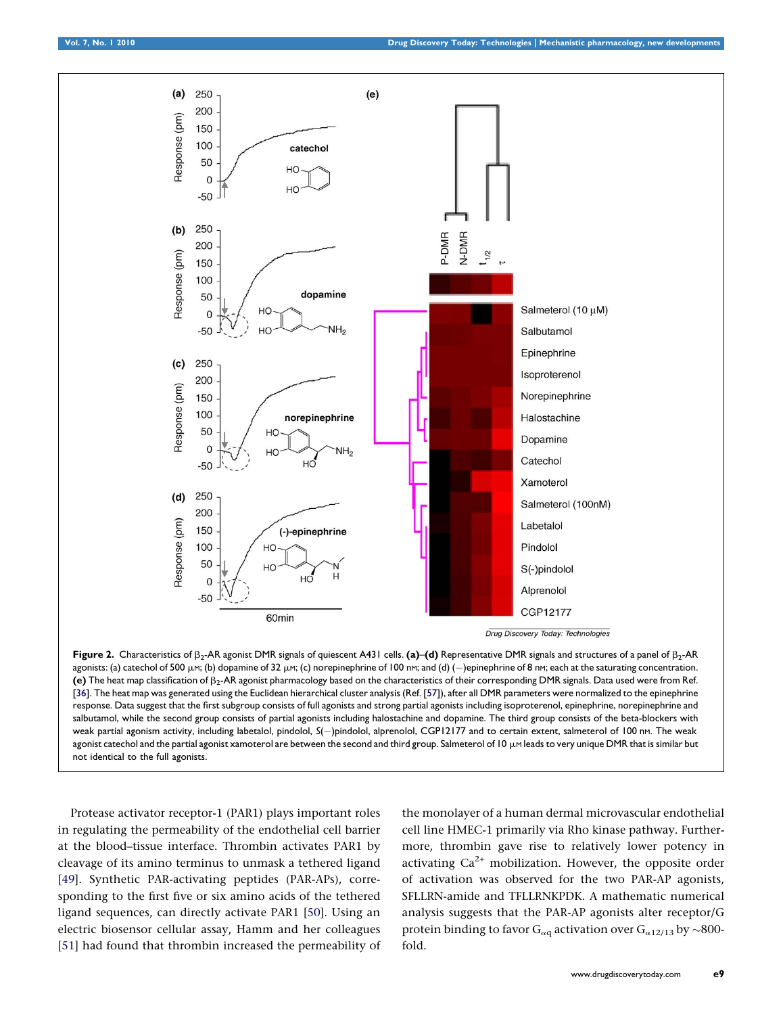<span id="page-4-0"></span>

Drug Discovery Today: Technologies

Figure 2. Characteristics of  $\beta_2$ -AR agonist DMR signals of quiescent A431 cells. (a)–(d) Representative DMR signals and structures of a panel of  $\beta_2$ -AR agonists: (a) catechol of 500  $\mu$ M; (b) dopamine of 32  $\mu$ M; (c) norepinephrine of 100 nM; and (d) (-)epinephrine of 8 nM; each at the saturating concentration. (e) The heat map classification of  $\beta_2$ -AR agonist pharmacology based on the characteristics of their corresponding DMR signals. Data used were from Ref. [[36\]](#page-6-0). The heat map was generated using the Euclidean hierarchical cluster analysis (Ref. [\[57\]](#page-6-0)), after all DMR parameters were normalized to the epinephrine response. Data suggest that the first subgroup consists of full agonists and strong partial agonists including isoproterenol, epinephrine, norepinephrine and salbutamol, while the second group consists of partial agonists including halostachine and dopamine. The third group consists of the beta-blockers with weak partial agonism activity, including labetalol, pindolol, S(-)pindolol, alprenolol, CGP12177 and to certain extent, salmeterol of 100 nm. The weak agonist catechol and the partial agonist xamoterol are between the second and third group. Salmeterol of 10  $\mu$ M leads to very unique DMR that is similar but not identical to the full agonists.

Protease activator receptor-1 (PAR1) plays important roles in regulating the permeability of the endothelial cell barrier at the blood–tissue interface. Thrombin activates PAR1 by cleavage of its amino terminus to unmask a tethered ligand [\[49\]](#page-6-0). Synthetic PAR-activating peptides (PAR-APs), corresponding to the first five or six amino acids of the tethered ligand sequences, can directly activate PAR1 [\[50\]](#page-6-0). Using an electric biosensor cellular assay, Hamm and her colleagues [\[51\]](#page-6-0) had found that thrombin increased the permeability of

the monolayer of a human dermal microvascular endothelial cell line HMEC-1 primarily via Rho kinase pathway. Furthermore, thrombin gave rise to relatively lower potency in activating  $Ca^{2+}$  mobilization. However, the opposite order of activation was observed for the two PAR-AP agonists, SFLLRN-amide and TFLLRNKPDK. A mathematic numerical analysis suggests that the PAR-AP agonists alter receptor/G protein binding to favor  $\rm G_{\alpha q}$  activation over  $\rm G_{\alpha 12/13}$  by  ${\sim}800$ fold.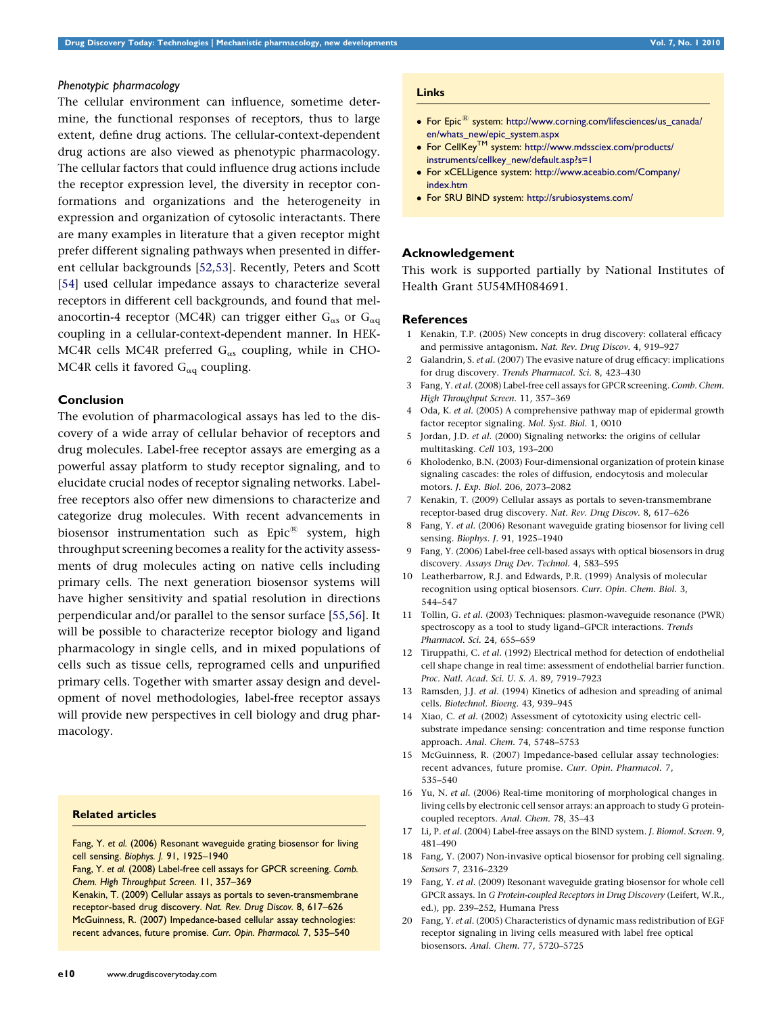# <span id="page-5-0"></span>Phenotypic pharmacology

The cellular environment can influence, sometime determine, the functional responses of receptors, thus to large extent, define drug actions. The cellular-context-dependent drug actions are also viewed as phenotypic pharmacology. The cellular factors that could influence drug actions include the receptor expression level, the diversity in receptor conformations and organizations and the heterogeneity in expression and organization of cytosolic interactants. There are many examples in literature that a given receptor might prefer different signaling pathways when presented in different cellular backgrounds [[52,53](#page-6-0)]. Recently, Peters and Scott [\[54\]](#page-6-0) used cellular impedance assays to characterize several receptors in different cell backgrounds, and found that melanocortin-4 receptor (MC4R) can trigger either  $G_{\alpha s}$  or  $G_{\alpha q}$ coupling in a cellular-context-dependent manner. In HEK-MC4R cells MC4R preferred  $G_{\alpha s}$  coupling, while in CHO-MC4R cells it favored  $G_{\alpha q}$  coupling.

# Conclusion

The evolution of pharmacological assays has led to the discovery of a wide array of cellular behavior of receptors and drug molecules. Label-free receptor assays are emerging as a powerful assay platform to study receptor signaling, and to elucidate crucial nodes of receptor signaling networks. Labelfree receptors also offer new dimensions to characterize and categorize drug molecules. With recent advancements in biosensor instrumentation such as  $Epic^{@}$  system, high throughput screening becomes a reality for the activity assessments of drug molecules acting on native cells including primary cells. The next generation biosensor systems will have higher sensitivity and spatial resolution in directions perpendicular and/or parallel to the sensor surface [[55,56](#page-6-0)]. It will be possible to characterize receptor biology and ligand pharmacology in single cells, and in mixed populations of cells such as tissue cells, reprogramed cells and unpurified primary cells. Together with smarter assay design and development of novel methodologies, label-free receptor assays will provide new perspectives in cell biology and drug pharmacology.

#### Related articles

- Fang, Y. et al. (2006) Resonant waveguide grating biosensor for living cell sensing. Biophys. J. 91, 1925–1940
- Fang, Y. et al. (2008) Label-free cell assays for GPCR screening. Comb. Chem. High Throughput Screen. 11, 357–369

Kenakin, T. (2009) Cellular assays as portals to seven-transmembrane receptor-based drug discovery. Nat. Rev. Drug Discov. 8, 617–626 McGuinness, R. (2007) Impedance-based cellular assay technologies: recent advances, future promise. Curr. Opin. Pharmacol. 7, 535–540

#### Links

- For  ${\sf Epic}^{\circledR}$  system: [http://www.corning.com/lifesciences/us\\_canada/](http://www.corning.com/lifesciences/us_canada/en/whats_new/epic_system.aspx) [en/whats\\_new/epic\\_system.aspx](http://www.corning.com/lifesciences/us_canada/en/whats_new/epic_system.aspx)
- For Cell $Key^{TM}$  system: [http://www.mdssciex.com/products/](http://www.mdssciex.com/products/instruments/cellkey_new/default.asp?s=1) [instruments/cellkey\\_new/default.asp?s=1](http://www.mdssciex.com/products/instruments/cellkey_new/default.asp?s=1)
- For xCELLigence system: [http://www.aceabio.com/Company/](http://www.aceabio.com/Company/index.htm) [index.htm](http://www.aceabio.com/Company/index.htm)
- For SRU BIND system: <http://srubiosystems.com/>

# Acknowledgement

This work is supported partially by National Institutes of Health Grant 5U54MH084691.

#### References

- 1 Kenakin, T.P. (2005) New concepts in drug discovery: collateral efficacy and permissive antagonism. Nat. Rev. Drug Discov. 4, 919–927
- 2 Galandrin, S. et al. (2007) The evasive nature of drug efficacy: implications for drug discovery. Trends Pharmacol. Sci. 8, 423–430
- 3 Fang, Y. et al. (2008) Label-free cell assays for GPCR screening. Comb. Chem. High Throughput Screen. 11, 357–369
- 4 Oda, K. et al. (2005) A comprehensive pathway map of epidermal growth factor receptor signaling. Mol. Syst. Biol. 1, 0010
- 5 Jordan, J.D. et al. (2000) Signaling networks: the origins of cellular multitasking. Cell 103, 193–200
- 6 Kholodenko, B.N. (2003) Four-dimensional organization of protein kinase signaling cascades: the roles of diffusion, endocytosis and molecular motors. J. Exp. Biol. 206, 2073–2082
- 7 Kenakin, T. (2009) Cellular assays as portals to seven-transmembrane receptor-based drug discovery. Nat. Rev. Drug Discov. 8, 617–626
- 8 Fang, Y. et al. (2006) Resonant waveguide grating biosensor for living cell sensing. Biophys. J. 91, 1925–1940
- 9 Fang, Y. (2006) Label-free cell-based assays with optical biosensors in drug discovery. Assays Drug Dev. Technol. 4, 583–595
- 10 Leatherbarrow, R.J. and Edwards, P.R. (1999) Analysis of molecular recognition using optical biosensors. Curr. Opin. Chem. Biol. 3, 544–547
- 11 Tollin, G. et al. (2003) Techniques: plasmon-waveguide resonance (PWR) spectroscopy as a tool to study ligand–GPCR interactions. Trends Pharmacol. Sci. 24, 655–659
- 12 Tiruppathi, C. et al. (1992) Electrical method for detection of endothelial cell shape change in real time: assessment of endothelial barrier function. Proc. Natl. Acad. Sci. U. S. A. 89, 7919–7923
- 13 Ramsden, J.J. et al. (1994) Kinetics of adhesion and spreading of animal cells. Biotechnol. Bioeng. 43, 939–945
- 14 Xiao, C. et al. (2002) Assessment of cytotoxicity using electric cellsubstrate impedance sensing: concentration and time response function approach. Anal. Chem. 74, 5748–5753
- 15 McGuinness, R. (2007) Impedance-based cellular assay technologies: recent advances, future promise. Curr. Opin. Pharmacol. 7, 535–540
- 16 Yu, N. et al. (2006) Real-time monitoring of morphological changes in living cells by electronic cell sensor arrays: an approach to study G proteincoupled receptors. Anal. Chem. 78, 35–43
- 17 Li, P. et al. (2004) Label-free assays on the BIND system. J. Biomol. Screen. 9, 481–490
- 18 Fang, Y. (2007) Non-invasive optical biosensor for probing cell signaling. Sensors 7, 2316–2329
- 19 Fang, Y. et al. (2009) Resonant waveguide grating biosensor for whole cell GPCR assays. In G Protein-coupled Receptors in Drug Discovery (Leifert, W.R., ed.), pp. 239–252, Humana Press
- 20 Fang, Y. et al. (2005) Characteristics of dynamic mass redistribution of EGF receptor signaling in living cells measured with label free optical biosensors. Anal. Chem. 77, 5720–5725